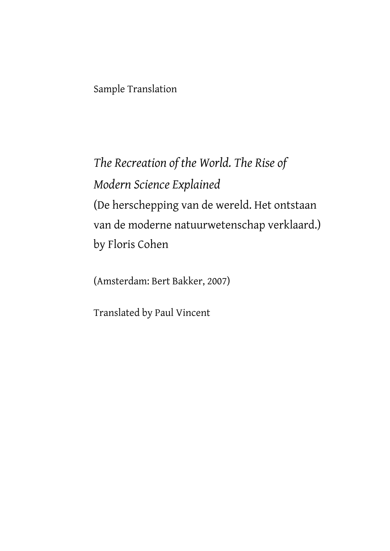Sample Translation

*The Recreation of the World. The Rise of Modern Science Explained* (De herschepping van de wereld. Het ontstaan van de moderne natuurwetenschap verklaard.) by Floris Cohen

(Amsterdam: Bert Bakker, 2007)

Translated by Paul Vincent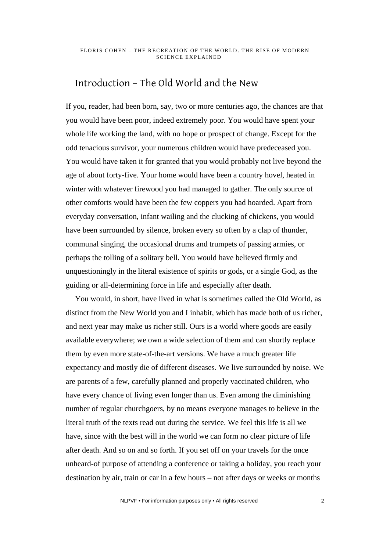# Introduction – The Old World and the New

If you, reader, had been born, say, two or more centuries ago, the chances are that you would have been poor, indeed extremely poor. You would have spent your whole life working the land, with no hope or prospect of change. Except for the odd tenacious survivor, your numerous children would have predeceased you. You would have taken it for granted that you would probably not live beyond the age of about forty-five. Your home would have been a country hovel, heated in winter with whatever firewood you had managed to gather. The only source of other comforts would have been the few coppers you had hoarded. Apart from everyday conversation, infant wailing and the clucking of chickens, you would have been surrounded by silence, broken every so often by a clap of thunder, communal singing, the occasional drums and trumpets of passing armies, or perhaps the tolling of a solitary bell. You would have believed firmly and unquestioningly in the literal existence of spirits or gods, or a single God, as the guiding or all-determining force in life and especially after death.

You would, in short, have lived in what is sometimes called the Old World, as distinct from the New World you and I inhabit, which has made both of us richer, and next year may make us richer still. Ours is a world where goods are easily available everywhere; we own a wide selection of them and can shortly replace them by even more state-of-the-art versions. We have a much greater life expectancy and mostly die of different diseases. We live surrounded by noise. We are parents of a few, carefully planned and properly vaccinated children, who have every chance of living even longer than us. Even among the diminishing number of regular churchgoers, by no means everyone manages to believe in the literal truth of the texts read out during the service. We feel this life is all we have, since with the best will in the world we can form no clear picture of life after death. And so on and so forth. If you set off on your travels for the once unheard-of purpose of attending a conference or taking a holiday, you reach your destination by air, train or car in a few hours – not after days or weeks or months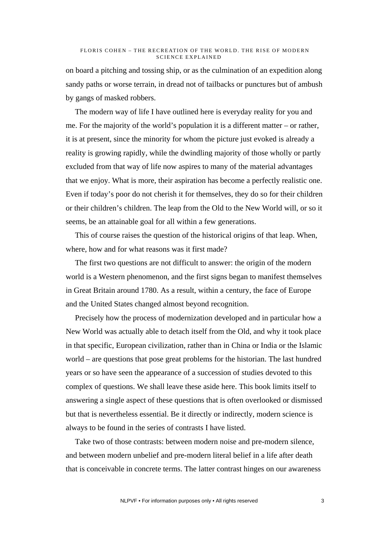on board a pitching and tossing ship, or as the culmination of an expedition along sandy paths or worse terrain, in dread not of tailbacks or punctures but of ambush by gangs of masked robbers.

The modern way of life I have outlined here is everyday reality for you and me. For the majority of the world's population it is a different matter – or rather, it is at present, since the minority for whom the picture just evoked is already a reality is growing rapidly, while the dwindling majority of those wholly or partly excluded from that way of life now aspires to many of the material advantages that we enjoy. What is more, their aspiration has become a perfectly realistic one. Even if today's poor do not cherish it for themselves, they do so for their children or their children's children. The leap from the Old to the New World will, or so it seems, be an attainable goal for all within a few generations.

This of course raises the question of the historical origins of that leap. When, where, how and for what reasons was it first made?

The first two questions are not difficult to answer: the origin of the modern world is a Western phenomenon, and the first signs began to manifest themselves in Great Britain around 1780. As a result, within a century, the face of Europe and the United States changed almost beyond recognition.

Precisely how the process of modernization developed and in particular how a New World was actually able to detach itself from the Old, and why it took place in that specific, European civilization, rather than in China or India or the Islamic world – are questions that pose great problems for the historian. The last hundred years or so have seen the appearance of a succession of studies devoted to this complex of questions. We shall leave these aside here. This book limits itself to answering a single aspect of these questions that is often overlooked or dismissed but that is nevertheless essential. Be it directly or indirectly, modern science is always to be found in the series of contrasts I have listed.

Take two of those contrasts: between modern noise and pre-modern silence, and between modern unbelief and pre-modern literal belief in a life after death that is conceivable in concrete terms. The latter contrast hinges on our awareness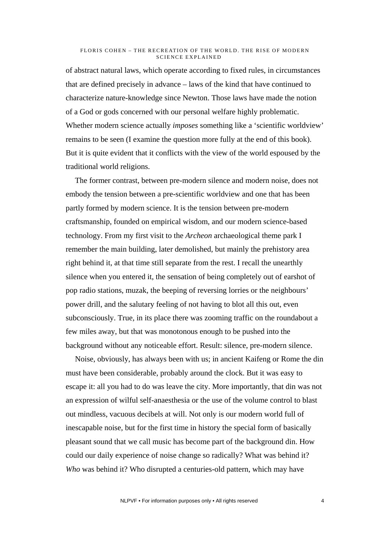of abstract natural laws, which operate according to fixed rules, in circumstances that are defined precisely in advance – laws of the kind that have continued to characterize nature-knowledge since Newton. Those laws have made the notion of a God or gods concerned with our personal welfare highly problematic. Whether modern science actually *imposes* something like a 'scientific worldview' remains to be seen (I examine the question more fully at the end of this book). But it is quite evident that it conflicts with the view of the world espoused by the traditional world religions.

The former contrast, between pre-modern silence and modern noise, does not embody the tension between a pre-scientific worldview and one that has been partly formed by modern science. It is the tension between pre-modern craftsmanship, founded on empirical wisdom, and our modern science-based technology. From my first visit to the *Archeon* archaeological theme park I remember the main building, later demolished, but mainly the prehistory area right behind it, at that time still separate from the rest. I recall the unearthly silence when you entered it, the sensation of being completely out of earshot of pop radio stations, muzak, the beeping of reversing lorries or the neighbours' power drill, and the salutary feeling of not having to blot all this out, even subconsciously. True, in its place there was zooming traffic on the roundabout a few miles away, but that was monotonous enough to be pushed into the background without any noticeable effort. Result: silence, pre-modern silence.

Noise, obviously, has always been with us; in ancient Kaifeng or Rome the din must have been considerable, probably around the clock. But it was easy to escape it: all you had to do was leave the city. More importantly, that din was not an expression of wilful self-anaesthesia or the use of the volume control to blast out mindless, vacuous decibels at will. Not only is our modern world full of inescapable noise, but for the first time in history the special form of basically pleasant sound that we call music has become part of the background din. How could our daily experience of noise change so radically? What was behind it? *Who* was behind it? Who disrupted a centuries-old pattern, which may have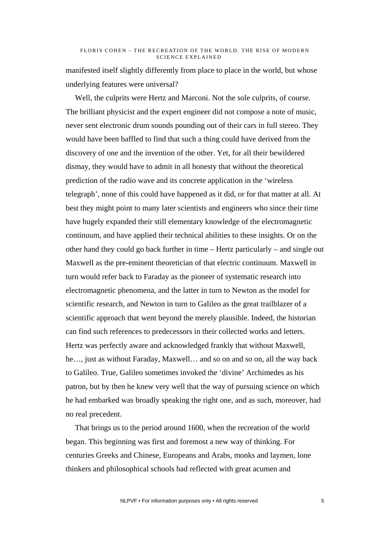manifested itself slightly differently from place to place in the world, but whose underlying features were universal?

Well, the culprits were Hertz and Marconi. Not the sole culprits, of course. The brilliant physicist and the expert engineer did not compose a note of music, never sent electronic drum sounds pounding out of their cars in full stereo. They would have been baffled to find that such a thing could have derived from the discovery of one and the invention of the other. Yet, for all their bewildered dismay, they would have to admit in all honesty that without the theoretical prediction of the radio wave and its concrete application in the 'wireless telegraph', none of this could have happened as it did, or for that matter at all. At best they might point to many later scientists and engineers who since their time have hugely expanded their still elementary knowledge of the electromagnetic continuum, and have applied their technical abilities to these insights. Or on the other hand they could go back further in time – Hertz particularly – and single out Maxwell as the pre-eminent theoretician of that electric continuum. Maxwell in turn would refer back to Faraday as the pioneer of systematic research into electromagnetic phenomena, and the latter in turn to Newton as the model for scientific research, and Newton in turn to Galileo as the great trailblazer of a scientific approach that went beyond the merely plausible. Indeed, the historian can find such references to predecessors in their collected works and letters. Hertz was perfectly aware and acknowledged frankly that without Maxwell, he…, just as without Faraday, Maxwell… and so on and so on, all the way back to Galileo. True, Galileo sometimes invoked the 'divine' Archimedes as his patron, but by then he knew very well that the way of pursuing science on which he had embarked was broadly speaking the right one, and as such, moreover, had no real precedent.

That brings us to the period around 1600, when the recreation of the world began. This beginning was first and foremost a new way of thinking. For centuries Greeks and Chinese, Europeans and Arabs, monks and laymen, lone thinkers and philosophical schools had reflected with great acumen and

NLPVF • For information purposes only • All rights reserved 5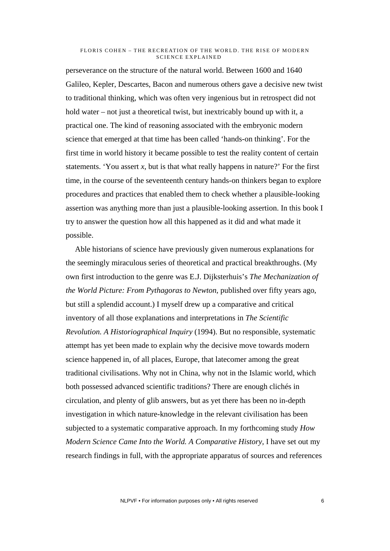perseverance on the structure of the natural world. Between 1600 and 1640 Galileo, Kepler, Descartes, Bacon and numerous others gave a decisive new twist to traditional thinking, which was often very ingenious but in retrospect did not hold water – not just a theoretical twist, but inextricably bound up with it, a practical one. The kind of reasoning associated with the embryonic modern science that emerged at that time has been called 'hands-on thinking'. For the first time in world history it became possible to test the reality content of certain statements. 'You assert *x*, but is that what really happens in nature?' For the first time, in the course of the seventeenth century hands-on thinkers began to explore procedures and practices that enabled them to check whether a plausible-looking assertion was anything more than just a plausible-looking assertion. In this book I try to answer the question how all this happened as it did and what made it possible.

Able historians of science have previously given numerous explanations for the seemingly miraculous series of theoretical and practical breakthroughs. (My own first introduction to the genre was E.J. Dijksterhuis's *The Mechanization of the World Picture: From Pythagoras to Newton*, published over fifty years ago, but still a splendid account.) I myself drew up a comparative and critical inventory of all those explanations and interpretations in *The Scientific Revolution. A Historiographical Inquiry* (1994). But no responsible, systematic attempt has yet been made to explain why the decisive move towards modern science happened in, of all places, Europe, that latecomer among the great traditional civilisations. Why not in China, why not in the Islamic world, which both possessed advanced scientific traditions? There are enough clichés in circulation, and plenty of glib answers, but as yet there has been no in-depth investigation in which nature-knowledge in the relevant civilisation has been subjected to a systematic comparative approach. In my forthcoming study *How Modern Science Came Into the World. A Comparative History*, I have set out my research findings in full, with the appropriate apparatus of sources and references